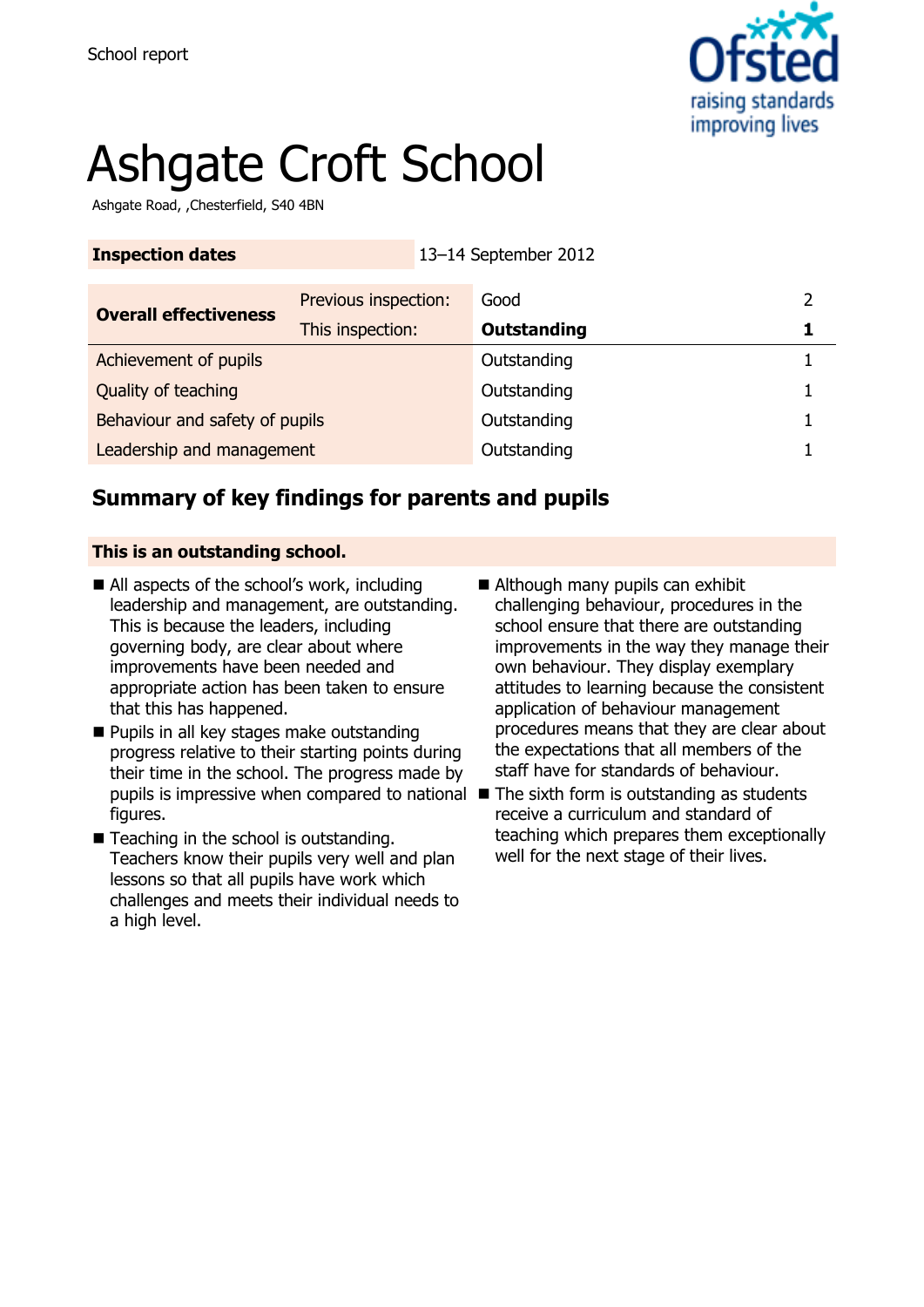

# Ashgate Croft School

Ashgate Road, ,Chesterfield, S40 4BN

| <b>Inspection dates</b>        |                      | 13-14 September 2012 |   |
|--------------------------------|----------------------|----------------------|---|
| <b>Overall effectiveness</b>   | Previous inspection: | Good                 | 2 |
|                                | This inspection:     | <b>Outstanding</b>   |   |
| Achievement of pupils          |                      | Outstanding          |   |
| Quality of teaching            |                      | Outstanding          |   |
| Behaviour and safety of pupils |                      | Outstanding          |   |
| Leadership and management      |                      | Outstanding          |   |

# **Summary of key findings for parents and pupils**

#### **This is an outstanding school.**

- All aspects of the school's work, including leadership and management, are outstanding. This is because the leaders, including governing body, are clear about where improvements have been needed and appropriate action has been taken to ensure that this has happened.
- **Pupils in all key stages make outstanding** progress relative to their starting points during their time in the school. The progress made by pupils is impressive when compared to national The sixth form is outstanding as students figures.
- Teaching in the school is outstanding. Teachers know their pupils very well and plan lessons so that all pupils have work which challenges and meets their individual needs to a high level.
- Although many pupils can exhibit challenging behaviour, procedures in the school ensure that there are outstanding improvements in the way they manage their own behaviour. They display exemplary attitudes to learning because the consistent application of behaviour management procedures means that they are clear about the expectations that all members of the staff have for standards of behaviour.
- receive a curriculum and standard of teaching which prepares them exceptionally well for the next stage of their lives.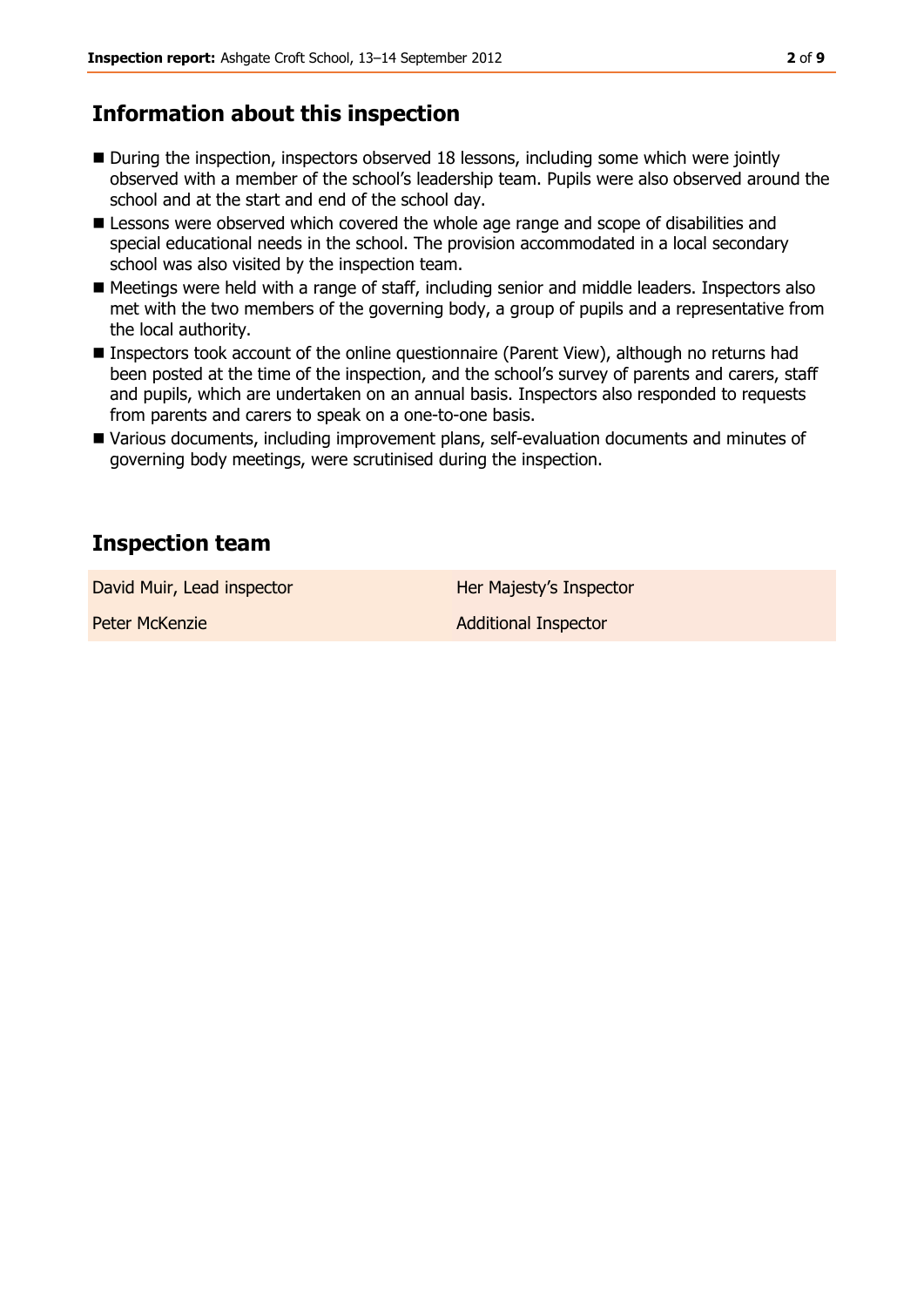# **Information about this inspection**

- During the inspection, inspectors observed 18 lessons, including some which were jointly observed with a member of the school's leadership team. Pupils were also observed around the school and at the start and end of the school day.
- **E** Lessons were observed which covered the whole age range and scope of disabilities and special educational needs in the school. The provision accommodated in a local secondary school was also visited by the inspection team.
- Meetings were held with a range of staff, including senior and middle leaders. Inspectors also met with the two members of the governing body, a group of pupils and a representative from the local authority.
- Inspectors took account of the online questionnaire (Parent View), although no returns had been posted at the time of the inspection, and the school's survey of parents and carers, staff and pupils, which are undertaken on an annual basis. Inspectors also responded to requests from parents and carers to speak on a one-to-one basis.
- Various documents, including improvement plans, self-evaluation documents and minutes of governing body meetings, were scrutinised during the inspection.

# **Inspection team**

David Muir, Lead inspector **Her Majesty's Inspector** 

Peter McKenzie Additional Inspector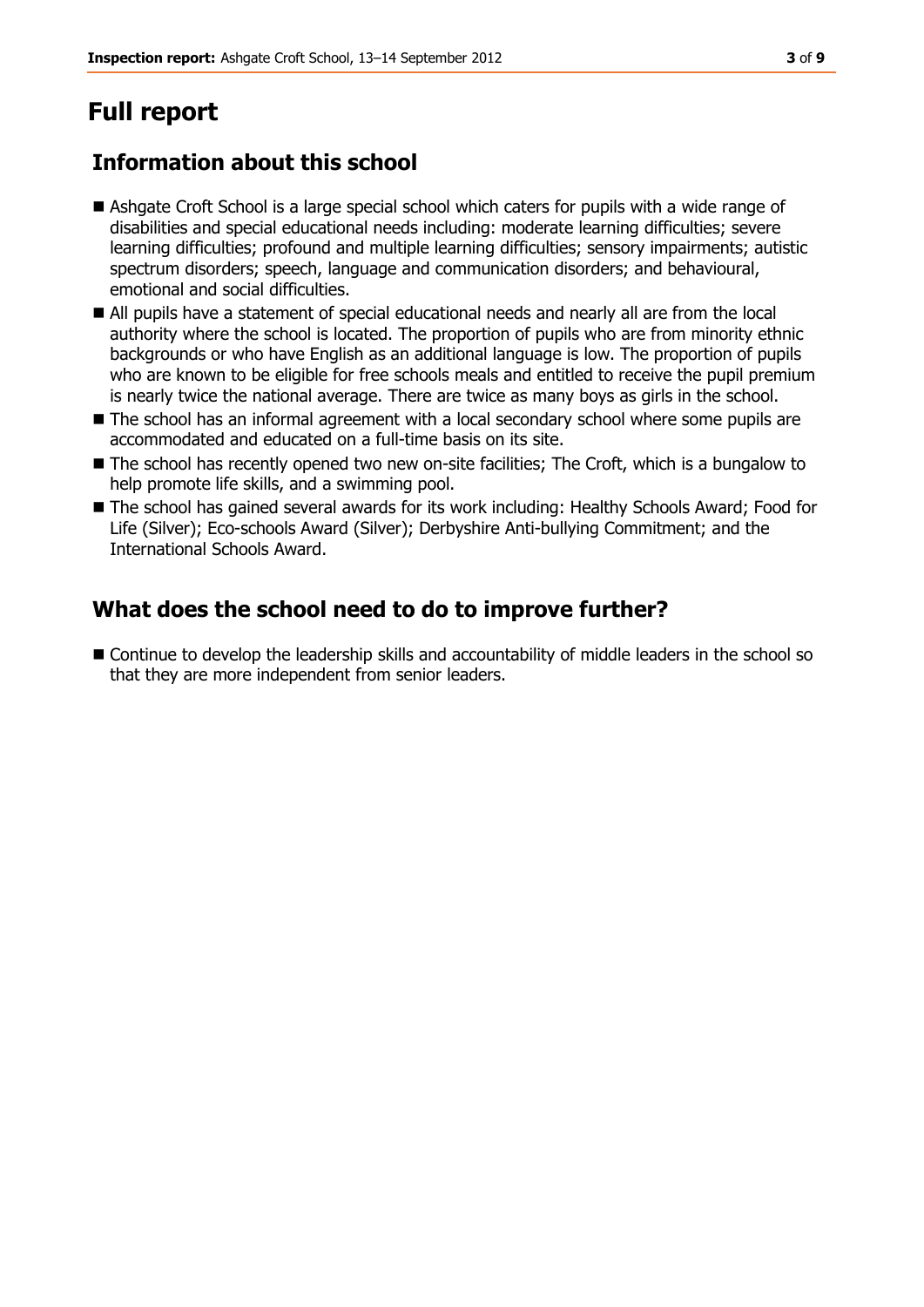# **Full report**

# **Information about this school**

- Ashgate Croft School is a large special school which caters for pupils with a wide range of disabilities and special educational needs including: moderate learning difficulties; severe learning difficulties; profound and multiple learning difficulties; sensory impairments; autistic spectrum disorders; speech, language and communication disorders; and behavioural, emotional and social difficulties.
- All pupils have a statement of special educational needs and nearly all are from the local authority where the school is located. The proportion of pupils who are from minority ethnic backgrounds or who have English as an additional language is low. The proportion of pupils who are known to be eligible for free schools meals and entitled to receive the pupil premium is nearly twice the national average. There are twice as many boys as girls in the school.
- The school has an informal agreement with a local secondary school where some pupils are accommodated and educated on a full-time basis on its site.
- The school has recently opened two new on-site facilities; The Croft, which is a bungalow to help promote life skills, and a swimming pool.
- The school has gained several awards for its work including: Healthy Schools Award; Food for Life (Silver); Eco-schools Award (Silver); Derbyshire Anti-bullying Commitment; and the International Schools Award.

# **What does the school need to do to improve further?**

■ Continue to develop the leadership skills and accountability of middle leaders in the school so that they are more independent from senior leaders.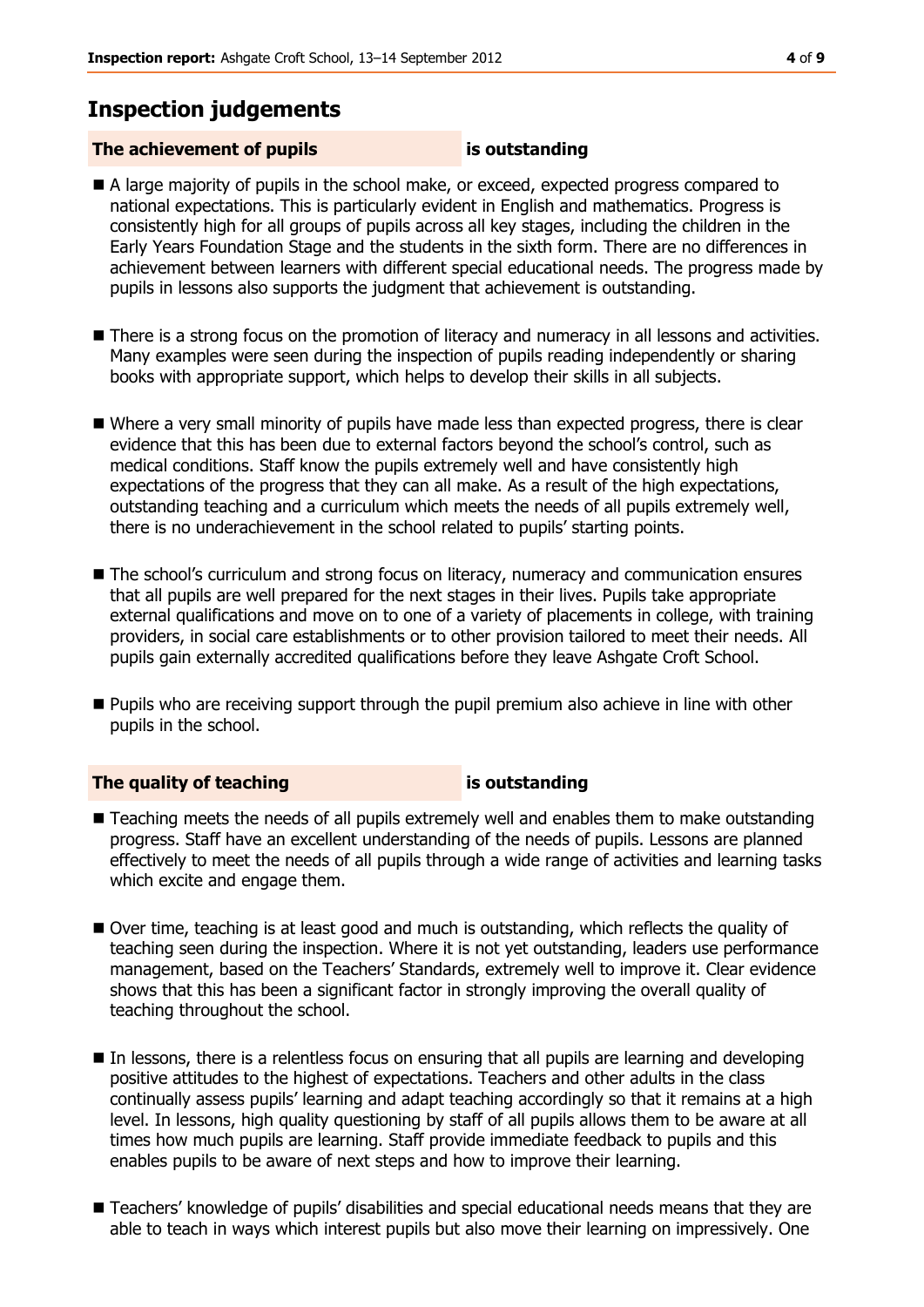## **Inspection judgements**

### **The achievement of pupils is outstanding**

- A large majority of pupils in the school make, or exceed, expected progress compared to national expectations. This is particularly evident in English and mathematics. Progress is consistently high for all groups of pupils across all key stages, including the children in the Early Years Foundation Stage and the students in the sixth form. There are no differences in achievement between learners with different special educational needs. The progress made by pupils in lessons also supports the judgment that achievement is outstanding.
- There is a strong focus on the promotion of literacy and numeracy in all lessons and activities. Many examples were seen during the inspection of pupils reading independently or sharing books with appropriate support, which helps to develop their skills in all subjects.
- Where a very small minority of pupils have made less than expected progress, there is clear evidence that this has been due to external factors beyond the school's control, such as medical conditions. Staff know the pupils extremely well and have consistently high expectations of the progress that they can all make. As a result of the high expectations, outstanding teaching and a curriculum which meets the needs of all pupils extremely well, there is no underachievement in the school related to pupils' starting points.
- **The school's curriculum and strong focus on literacy, numeracy and communication ensures** that all pupils are well prepared for the next stages in their lives. Pupils take appropriate external qualifications and move on to one of a variety of placements in college, with training providers, in social care establishments or to other provision tailored to meet their needs. All pupils gain externally accredited qualifications before they leave Ashgate Croft School.
- Pupils who are receiving support through the pupil premium also achieve in line with other pupils in the school.

#### **The quality of teaching is outstanding**

- Teaching meets the needs of all pupils extremely well and enables them to make outstanding progress. Staff have an excellent understanding of the needs of pupils. Lessons are planned effectively to meet the needs of all pupils through a wide range of activities and learning tasks which excite and engage them.
- Over time, teaching is at least good and much is outstanding, which reflects the quality of teaching seen during the inspection. Where it is not yet outstanding, leaders use performance management, based on the Teachers' Standards, extremely well to improve it. Clear evidence shows that this has been a significant factor in strongly improving the overall quality of teaching throughout the school.
- In lessons, there is a relentless focus on ensuring that all pupils are learning and developing positive attitudes to the highest of expectations. Teachers and other adults in the class continually assess pupils' learning and adapt teaching accordingly so that it remains at a high level. In lessons, high quality questioning by staff of all pupils allows them to be aware at all times how much pupils are learning. Staff provide immediate feedback to pupils and this enables pupils to be aware of next steps and how to improve their learning.
- Teachers' knowledge of pupils' disabilities and special educational needs means that they are able to teach in ways which interest pupils but also move their learning on impressively. One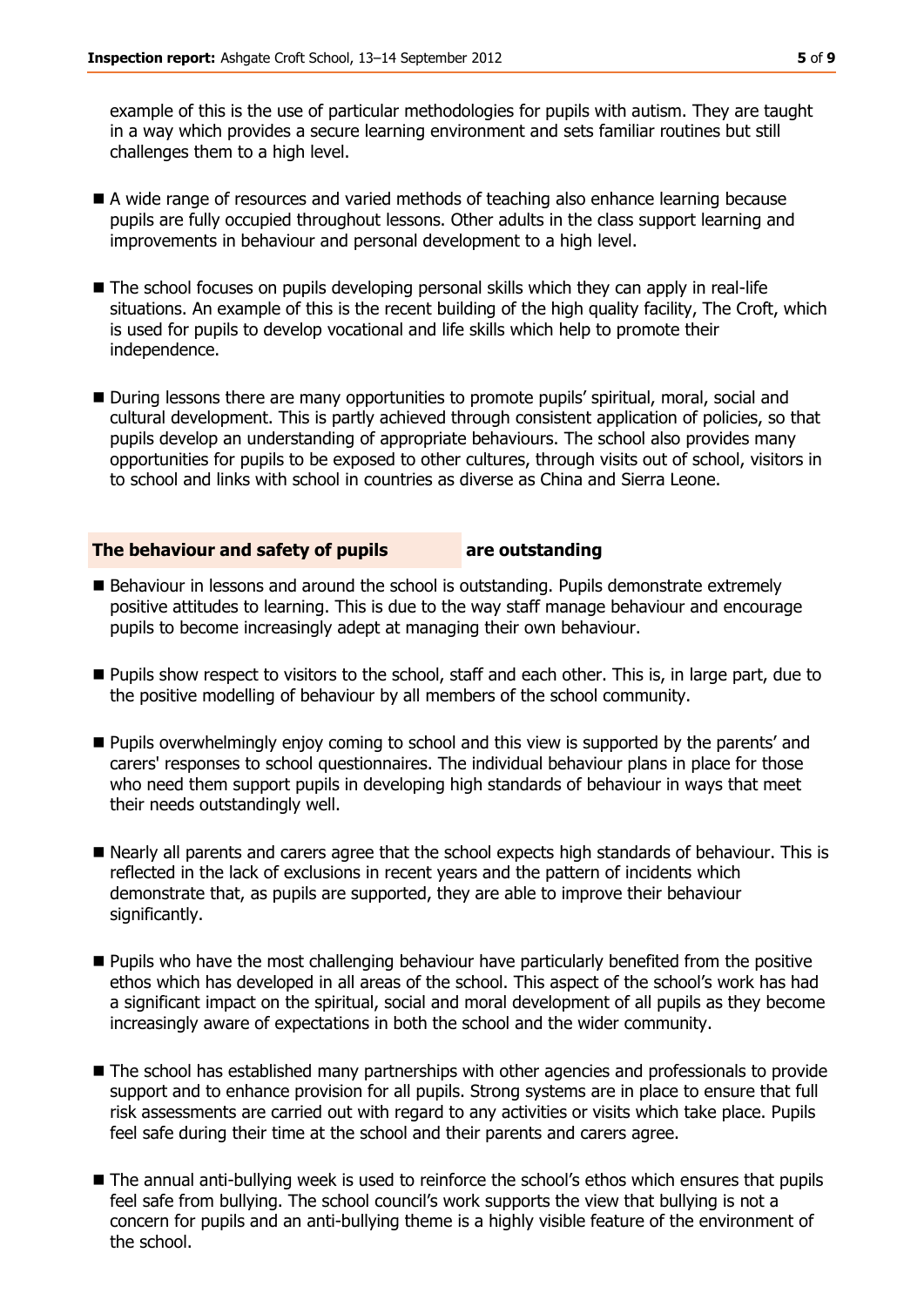example of this is the use of particular methodologies for pupils with autism. They are taught in a way which provides a secure learning environment and sets familiar routines but still challenges them to a high level.

- A wide range of resources and varied methods of teaching also enhance learning because pupils are fully occupied throughout lessons. Other adults in the class support learning and improvements in behaviour and personal development to a high level.
- The school focuses on pupils developing personal skills which they can apply in real-life situations. An example of this is the recent building of the high quality facility, The Croft, which is used for pupils to develop vocational and life skills which help to promote their independence.
- During lessons there are many opportunities to promote pupils' spiritual, moral, social and cultural development. This is partly achieved through consistent application of policies, so that pupils develop an understanding of appropriate behaviours. The school also provides many opportunities for pupils to be exposed to other cultures, through visits out of school, visitors in to school and links with school in countries as diverse as China and Sierra Leone.

#### **The behaviour and safety of pupils are outstanding**

- Behaviour in lessons and around the school is outstanding. Pupils demonstrate extremely positive attitudes to learning. This is due to the way staff manage behaviour and encourage pupils to become increasingly adept at managing their own behaviour.
- Pupils show respect to visitors to the school, staff and each other. This is, in large part, due to the positive modelling of behaviour by all members of the school community.
- **Pupils overwhelmingly enjoy coming to school and this view is supported by the parents' and** carers' responses to school questionnaires. The individual behaviour plans in place for those who need them support pupils in developing high standards of behaviour in ways that meet their needs outstandingly well.
- Nearly all parents and carers agree that the school expects high standards of behaviour. This is reflected in the lack of exclusions in recent years and the pattern of incidents which demonstrate that, as pupils are supported, they are able to improve their behaviour significantly.
- Pupils who have the most challenging behaviour have particularly benefited from the positive ethos which has developed in all areas of the school. This aspect of the school's work has had a significant impact on the spiritual, social and moral development of all pupils as they become increasingly aware of expectations in both the school and the wider community.
- The school has established many partnerships with other agencies and professionals to provide support and to enhance provision for all pupils. Strong systems are in place to ensure that full risk assessments are carried out with regard to any activities or visits which take place. Pupils feel safe during their time at the school and their parents and carers agree.
- $\blacksquare$  The annual anti-bullying week is used to reinforce the school's ethos which ensures that pupils feel safe from bullying. The school council's work supports the view that bullying is not a concern for pupils and an anti-bullying theme is a highly visible feature of the environment of the school.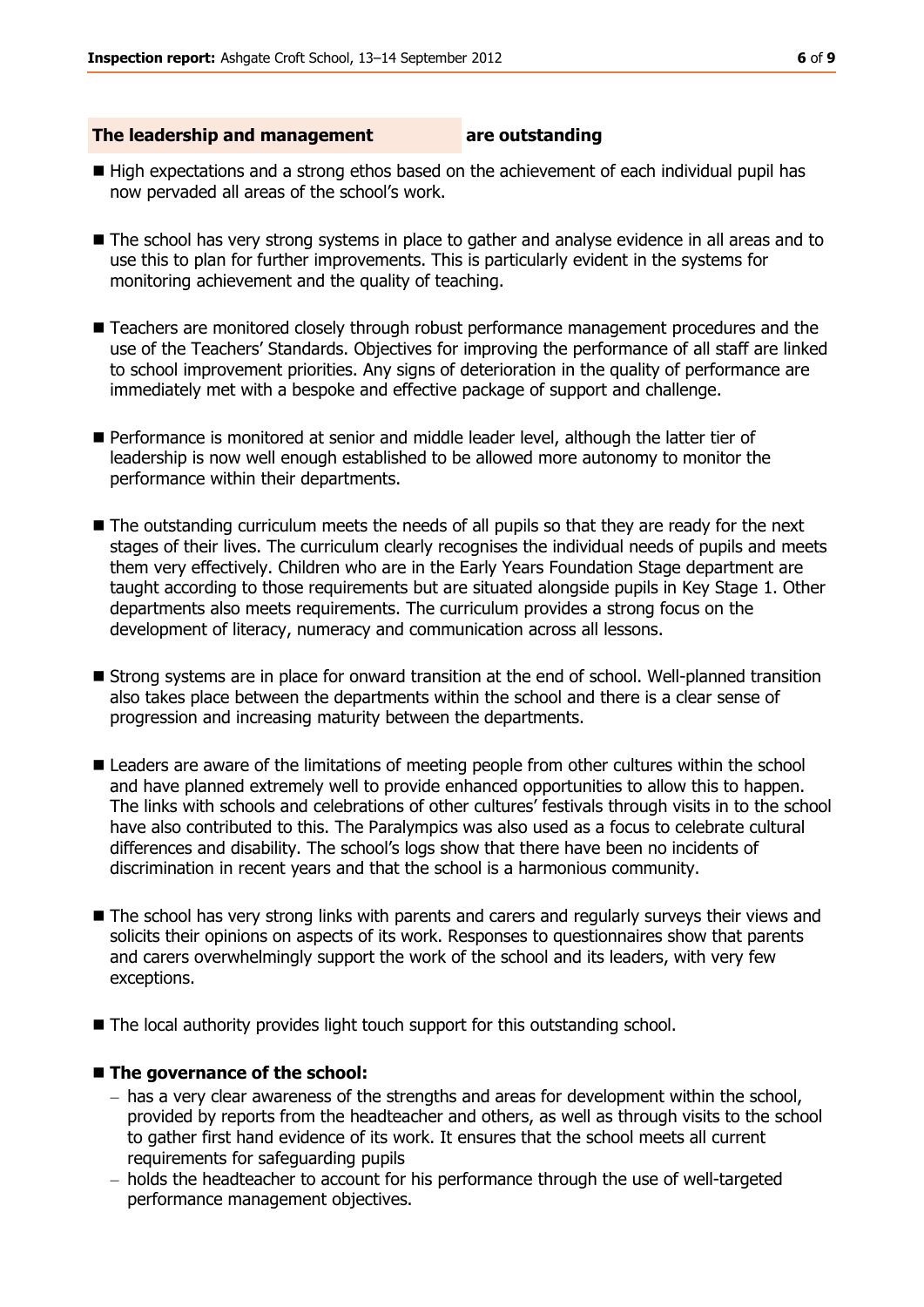#### **The leadership and management are outstanding**

- $\blacksquare$  High expectations and a strong ethos based on the achievement of each individual pupil has now pervaded all areas of the school's work.
- $\blacksquare$  The school has very strong systems in place to gather and analyse evidence in all areas and to use this to plan for further improvements. This is particularly evident in the systems for monitoring achievement and the quality of teaching.
- Teachers are monitored closely through robust performance management procedures and the use of the Teachers' Standards. Objectives for improving the performance of all staff are linked to school improvement priorities. Any signs of deterioration in the quality of performance are immediately met with a bespoke and effective package of support and challenge.
- Performance is monitored at senior and middle leader level, although the latter tier of leadership is now well enough established to be allowed more autonomy to monitor the performance within their departments.
- The outstanding curriculum meets the needs of all pupils so that they are ready for the next stages of their lives. The curriculum clearly recognises the individual needs of pupils and meets them very effectively. Children who are in the Early Years Foundation Stage department are taught according to those requirements but are situated alongside pupils in Key Stage 1. Other departments also meets requirements. The curriculum provides a strong focus on the development of literacy, numeracy and communication across all lessons.
- Strong systems are in place for onward transition at the end of school. Well-planned transition also takes place between the departments within the school and there is a clear sense of progression and increasing maturity between the departments.
- **E** Leaders are aware of the limitations of meeting people from other cultures within the school and have planned extremely well to provide enhanced opportunities to allow this to happen. The links with schools and celebrations of other cultures' festivals through visits in to the school have also contributed to this. The Paralympics was also used as a focus to celebrate cultural differences and disability. The school's logs show that there have been no incidents of discrimination in recent years and that the school is a harmonious community.
- The school has very strong links with parents and carers and regularly surveys their views and solicits their opinions on aspects of its work. Responses to questionnaires show that parents and carers overwhelmingly support the work of the school and its leaders, with very few exceptions.
- The local authority provides light touch support for this outstanding school.

#### **The governance of the school:**

- $-$  has a very clear awareness of the strengths and areas for development within the school, provided by reports from the headteacher and others, as well as through visits to the school to gather first hand evidence of its work. It ensures that the school meets all current requirements for safeguarding pupils
- holds the headteacher to account for his performance through the use of well-targeted performance management objectives.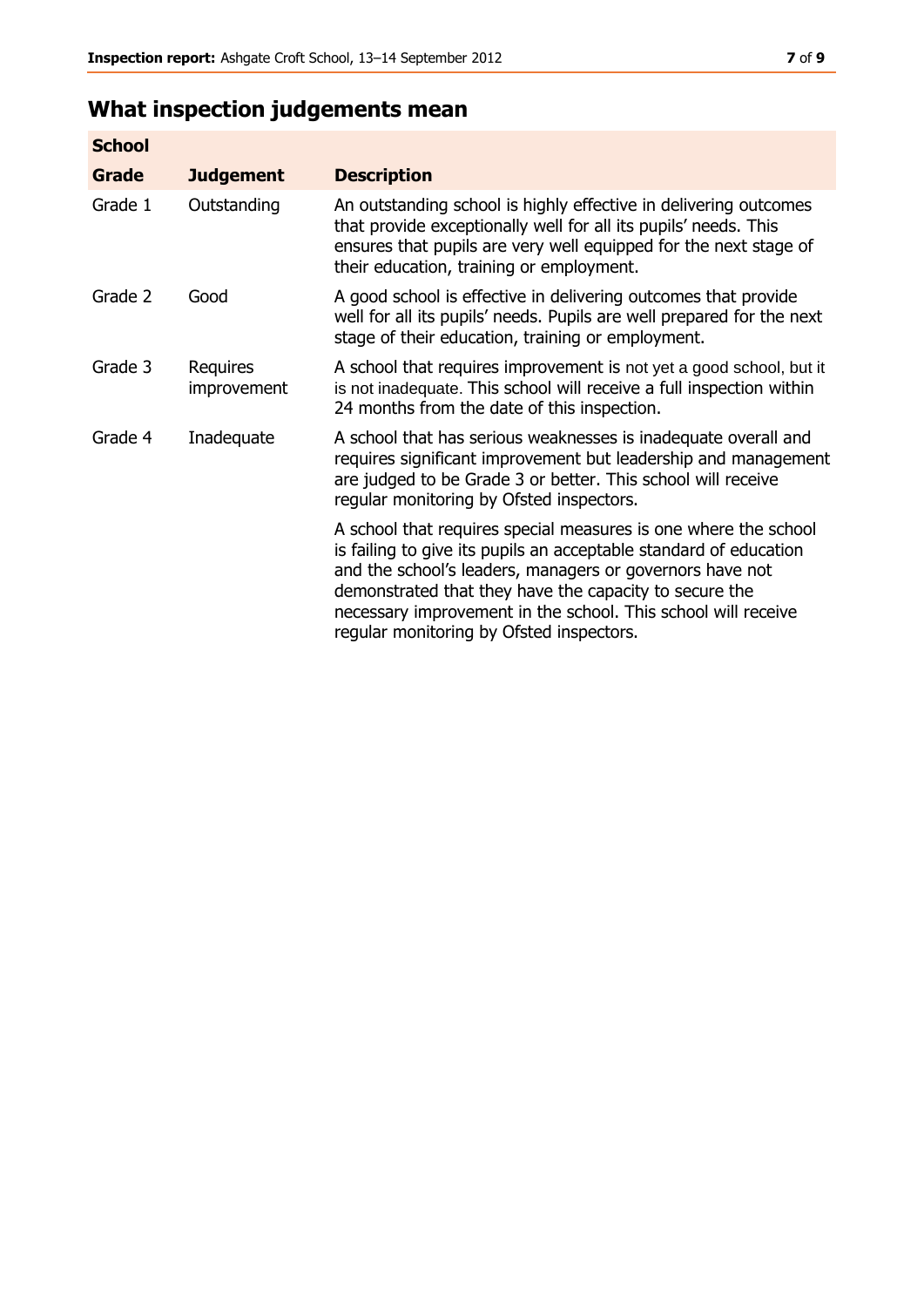# **What inspection judgements mean**

| <b>School</b> |                         |                                                                                                                                                                                                                                                                                                                                                                         |
|---------------|-------------------------|-------------------------------------------------------------------------------------------------------------------------------------------------------------------------------------------------------------------------------------------------------------------------------------------------------------------------------------------------------------------------|
| Grade         | <b>Judgement</b>        | <b>Description</b>                                                                                                                                                                                                                                                                                                                                                      |
| Grade 1       | Outstanding             | An outstanding school is highly effective in delivering outcomes<br>that provide exceptionally well for all its pupils' needs. This<br>ensures that pupils are very well equipped for the next stage of<br>their education, training or employment.                                                                                                                     |
| Grade 2       | Good                    | A good school is effective in delivering outcomes that provide<br>well for all its pupils' needs. Pupils are well prepared for the next<br>stage of their education, training or employment.                                                                                                                                                                            |
| Grade 3       | Requires<br>improvement | A school that requires improvement is not yet a good school, but it<br>is not inadequate. This school will receive a full inspection within<br>24 months from the date of this inspection.                                                                                                                                                                              |
| Grade 4       | Inadequate              | A school that has serious weaknesses is inadequate overall and<br>requires significant improvement but leadership and management<br>are judged to be Grade 3 or better. This school will receive<br>regular monitoring by Ofsted inspectors.                                                                                                                            |
|               |                         | A school that requires special measures is one where the school<br>is failing to give its pupils an acceptable standard of education<br>and the school's leaders, managers or governors have not<br>demonstrated that they have the capacity to secure the<br>necessary improvement in the school. This school will receive<br>regular monitoring by Ofsted inspectors. |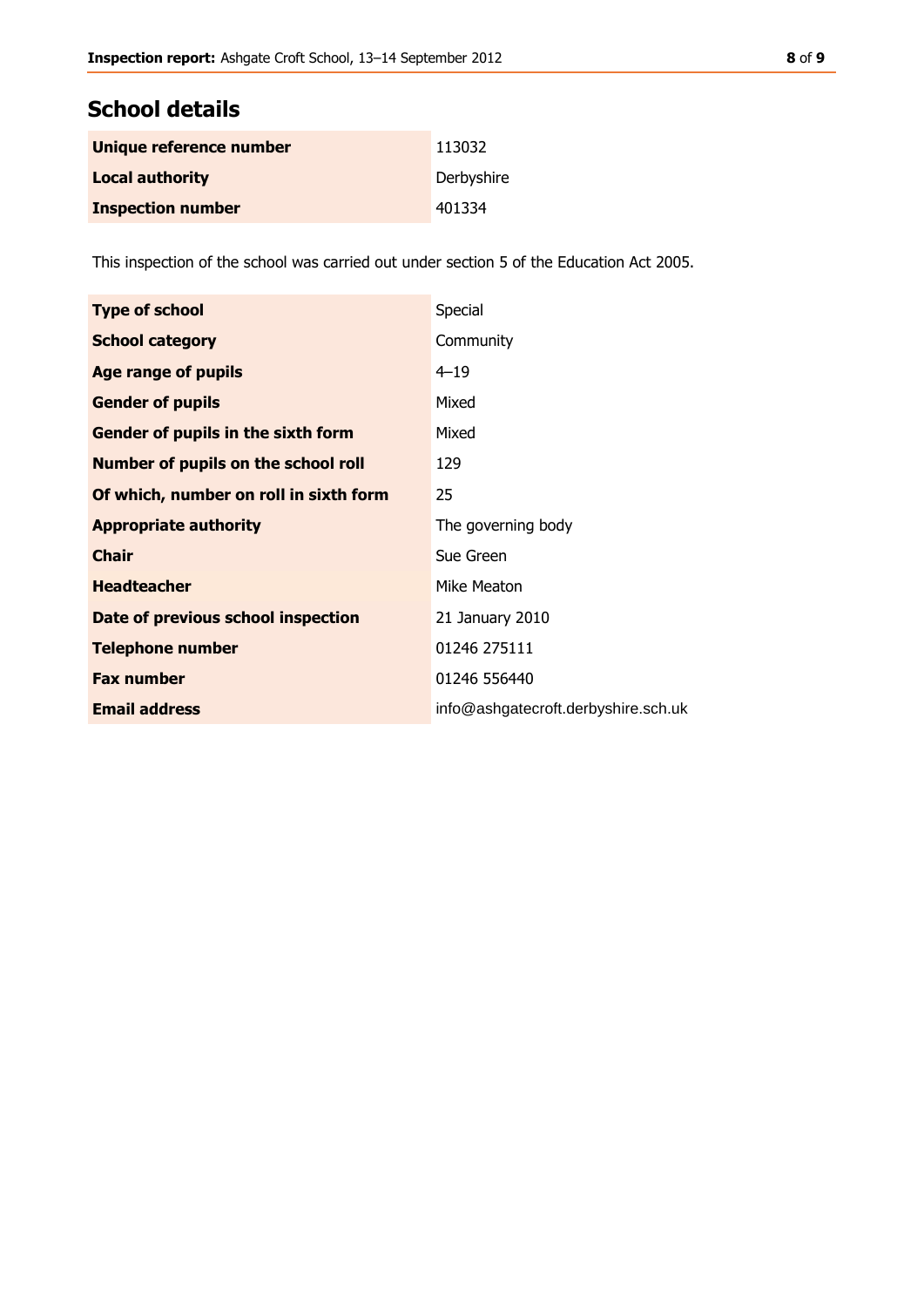# **School details**

| Unique reference number  | 113032     |
|--------------------------|------------|
| <b>Local authority</b>   | Derbyshire |
| <b>Inspection number</b> | 401334     |

This inspection of the school was carried out under section 5 of the Education Act 2005.

| <b>Type of school</b>                      | Special                             |
|--------------------------------------------|-------------------------------------|
| <b>School category</b>                     | Community                           |
| Age range of pupils                        | $4 - 19$                            |
| <b>Gender of pupils</b>                    | Mixed                               |
| Gender of pupils in the sixth form         | Mixed                               |
| <b>Number of pupils on the school roll</b> | 129                                 |
| Of which, number on roll in sixth form     | 25                                  |
| <b>Appropriate authority</b>               | The governing body                  |
| <b>Chair</b>                               | Sue Green                           |
| <b>Headteacher</b>                         | Mike Meaton                         |
| Date of previous school inspection         | 21 January 2010                     |
| <b>Telephone number</b>                    | 01246 275111                        |
| <b>Fax number</b>                          | 01246 556440                        |
| <b>Email address</b>                       | info@ashgatecroft.derbyshire.sch.uk |